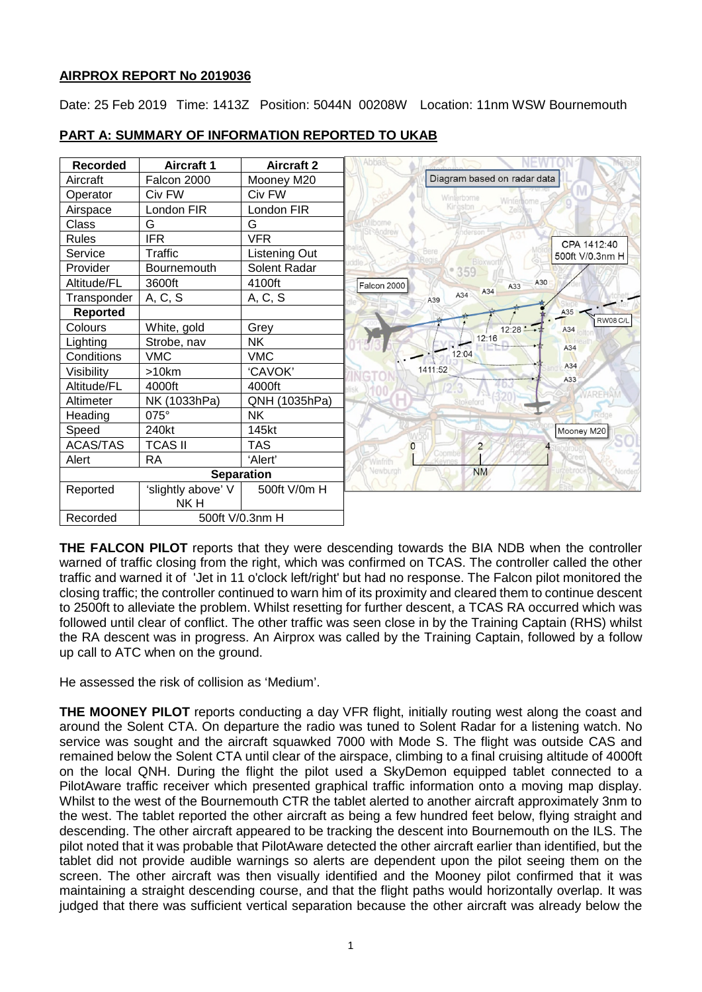### **AIRPROX REPORT No 2019036**

Date: 25 Feb 2019 Time: 1413Z Position: 5044N 00208W Location: 11nm WSW Bournemouth



## **PART A: SUMMARY OF INFORMATION REPORTED TO UKAB**

**THE FALCON PILOT** reports that they were descending towards the BIA NDB when the controller warned of traffic closing from the right, which was confirmed on TCAS. The controller called the other traffic and warned it of 'Jet in 11 o'clock left/right' but had no response. The Falcon pilot monitored the closing traffic; the controller continued to warn him of its proximity and cleared them to continue descent to 2500ft to alleviate the problem. Whilst resetting for further descent, a TCAS RA occurred which was followed until clear of conflict. The other traffic was seen close in by the Training Captain (RHS) whilst the RA descent was in progress. An Airprox was called by the Training Captain, followed by a follow up call to ATC when on the ground.

He assessed the risk of collision as 'Medium'.

**THE MOONEY PILOT** reports conducting a day VFR flight, initially routing west along the coast and around the Solent CTA. On departure the radio was tuned to Solent Radar for a listening watch. No service was sought and the aircraft squawked 7000 with Mode S. The flight was outside CAS and remained below the Solent CTA until clear of the airspace, climbing to a final cruising altitude of 4000ft on the local QNH. During the flight the pilot used a SkyDemon equipped tablet connected to a PilotAware traffic receiver which presented graphical traffic information onto a moving map display. Whilst to the west of the Bournemouth CTR the tablet alerted to another aircraft approximately 3nm to the west. The tablet reported the other aircraft as being a few hundred feet below, flying straight and descending. The other aircraft appeared to be tracking the descent into Bournemouth on the ILS. The pilot noted that it was probable that PilotAware detected the other aircraft earlier than identified, but the tablet did not provide audible warnings so alerts are dependent upon the pilot seeing them on the screen. The other aircraft was then visually identified and the Mooney pilot confirmed that it was maintaining a straight descending course, and that the flight paths would horizontally overlap. It was judged that there was sufficient vertical separation because the other aircraft was already below the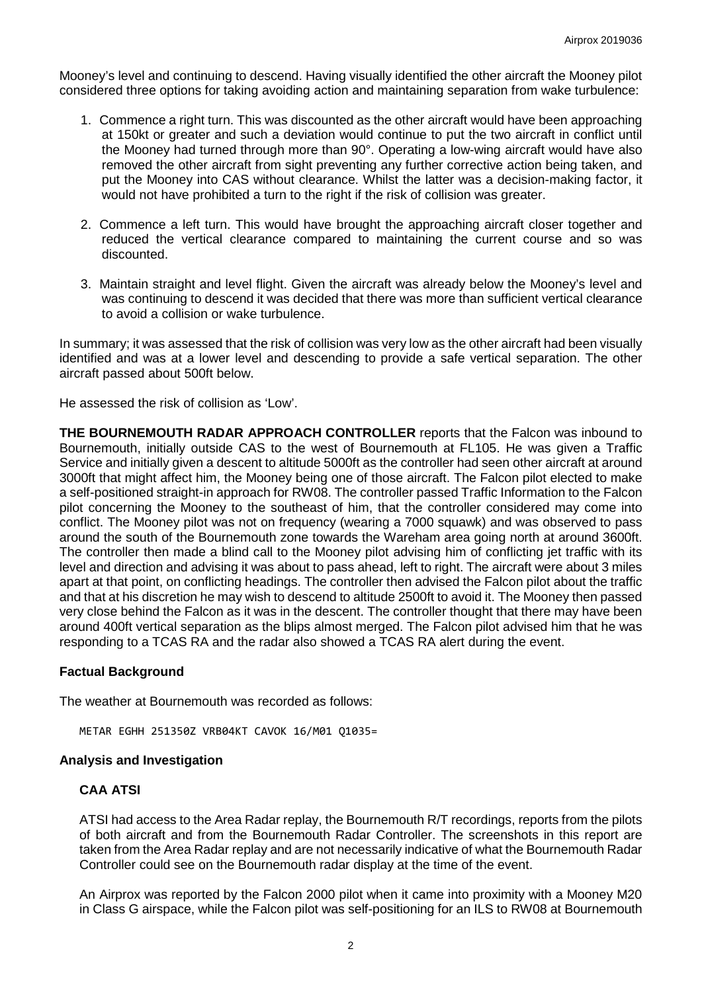Mooney's level and continuing to descend. Having visually identified the other aircraft the Mooney pilot considered three options for taking avoiding action and maintaining separation from wake turbulence:

- 1. Commence a right turn. This was discounted as the other aircraft would have been approaching at 150kt or greater and such a deviation would continue to put the two aircraft in conflict until the Mooney had turned through more than 90°. Operating a low-wing aircraft would have also removed the other aircraft from sight preventing any further corrective action being taken, and put the Mooney into CAS without clearance. Whilst the latter was a decision-making factor, it would not have prohibited a turn to the right if the risk of collision was greater.
- 2. Commence a left turn. This would have brought the approaching aircraft closer together and reduced the vertical clearance compared to maintaining the current course and so was discounted.
- 3. Maintain straight and level flight. Given the aircraft was already below the Mooney's level and was continuing to descend it was decided that there was more than sufficient vertical clearance to avoid a collision or wake turbulence.

In summary; it was assessed that the risk of collision was very low as the other aircraft had been visually identified and was at a lower level and descending to provide a safe vertical separation. The other aircraft passed about 500ft below.

He assessed the risk of collision as 'Low'.

**THE BOURNEMOUTH RADAR APPROACH CONTROLLER** reports that the Falcon was inbound to Bournemouth, initially outside CAS to the west of Bournemouth at FL105. He was given a Traffic Service and initially given a descent to altitude 5000ft as the controller had seen other aircraft at around 3000ft that might affect him, the Mooney being one of those aircraft. The Falcon pilot elected to make a self-positioned straight-in approach for RW08. The controller passed Traffic Information to the Falcon pilot concerning the Mooney to the southeast of him, that the controller considered may come into conflict. The Mooney pilot was not on frequency (wearing a 7000 squawk) and was observed to pass around the south of the Bournemouth zone towards the Wareham area going north at around 3600ft. The controller then made a blind call to the Mooney pilot advising him of conflicting jet traffic with its level and direction and advising it was about to pass ahead, left to right. The aircraft were about 3 miles apart at that point, on conflicting headings. The controller then advised the Falcon pilot about the traffic and that at his discretion he may wish to descend to altitude 2500ft to avoid it. The Mooney then passed very close behind the Falcon as it was in the descent. The controller thought that there may have been around 400ft vertical separation as the blips almost merged. The Falcon pilot advised him that he was responding to a TCAS RA and the radar also showed a TCAS RA alert during the event.

#### **Factual Background**

The weather at Bournemouth was recorded as follows:

METAR EGHH 251350Z VRB04KT CAVOK 16/M01 Q1035=

#### **Analysis and Investigation**

#### **CAA ATSI**

ATSI had access to the Area Radar replay, the Bournemouth R/T recordings, reports from the pilots of both aircraft and from the Bournemouth Radar Controller. The screenshots in this report are taken from the Area Radar replay and are not necessarily indicative of what the Bournemouth Radar Controller could see on the Bournemouth radar display at the time of the event.

An Airprox was reported by the Falcon 2000 pilot when it came into proximity with a Mooney M20 in Class G airspace, while the Falcon pilot was self-positioning for an ILS to RW08 at Bournemouth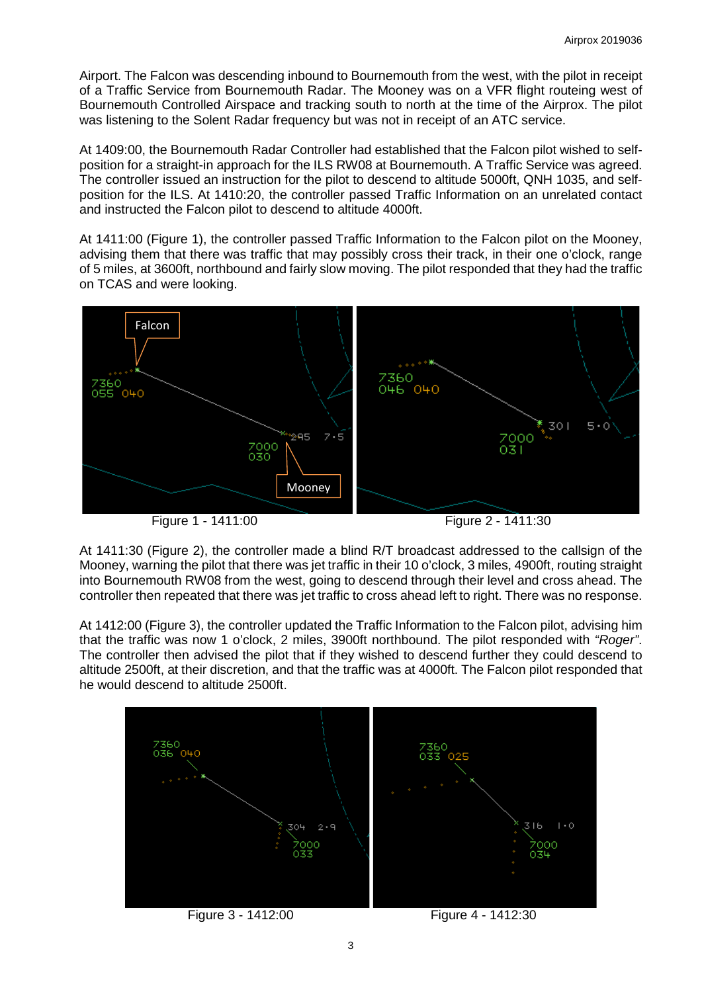Airport. The Falcon was descending inbound to Bournemouth from the west, with the pilot in receipt of a Traffic Service from Bournemouth Radar. The Mooney was on a VFR flight routeing west of Bournemouth Controlled Airspace and tracking south to north at the time of the Airprox. The pilot was listening to the Solent Radar frequency but was not in receipt of an ATC service.

At 1409:00, the Bournemouth Radar Controller had established that the Falcon pilot wished to selfposition for a straight-in approach for the ILS RW08 at Bournemouth. A Traffic Service was agreed. The controller issued an instruction for the pilot to descend to altitude 5000ft, QNH 1035, and selfposition for the ILS. At 1410:20, the controller passed Traffic Information on an unrelated contact and instructed the Falcon pilot to descend to altitude 4000ft.

At 1411:00 (Figure 1), the controller passed Traffic Information to the Falcon pilot on the Mooney, advising them that there was traffic that may possibly cross their track, in their one o'clock, range of 5 miles, at 3600ft, northbound and fairly slow moving. The pilot responded that they had the traffic on TCAS and were looking.





At 1411:30 (Figure 2), the controller made a blind R/T broadcast addressed to the callsign of the Mooney, warning the pilot that there was jet traffic in their 10 o'clock, 3 miles, 4900ft, routing straight into Bournemouth RW08 from the west, going to descend through their level and cross ahead. The controller then repeated that there was jet traffic to cross ahead left to right. There was no response.

At 1412:00 (Figure 3), the controller updated the Traffic Information to the Falcon pilot, advising him that the traffic was now 1 o'clock, 2 miles, 3900ft northbound. The pilot responded with *"Roger"*. The controller then advised the pilot that if they wished to descend further they could descend to altitude 2500ft, at their discretion, and that the traffic was at 4000ft. The Falcon pilot responded that he would descend to altitude 2500ft.



Figure 3 - 1412:00 Figure 4 - 1412:30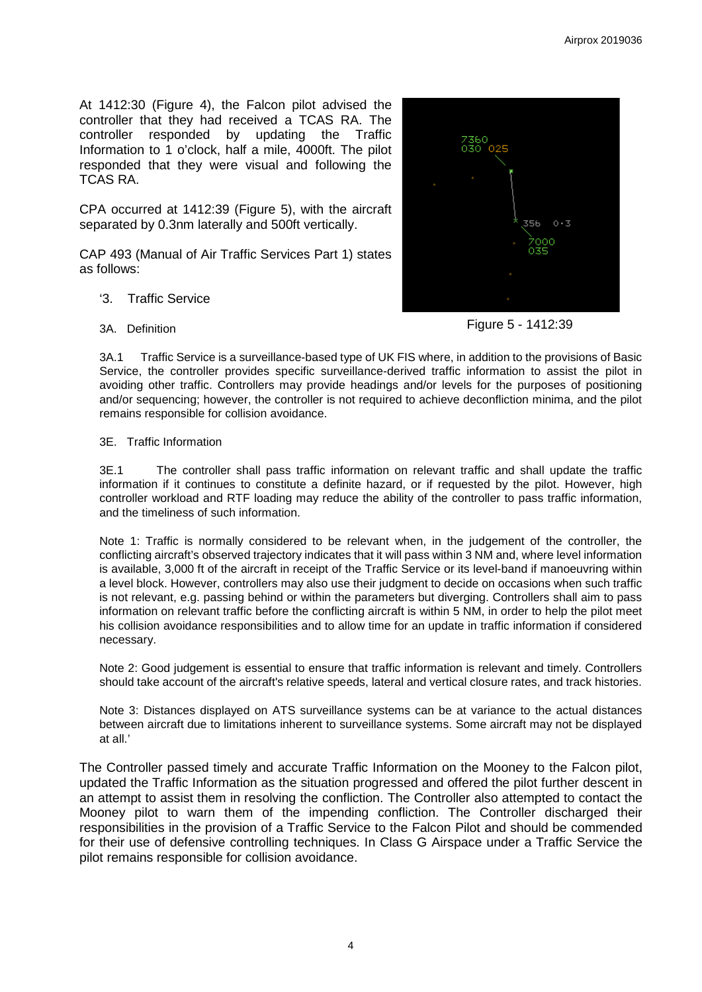At 1412:30 (Figure 4), the Falcon pilot advised the controller that they had received a TCAS RA. The controller responded by updating the Traffic Information to 1 o'clock, half a mile, 4000ft. The pilot responded that they were visual and following the TCAS RA.

CPA occurred at 1412:39 (Figure 5), with the aircraft separated by 0.3nm laterally and 500ft vertically.

CAP 493 (Manual of Air Traffic Services Part 1) states as follows:

- '3. Traffic Service
- 3A. Definition

356  $0.3$ 

Figure 5 - 1412:39

3A.1 Traffic Service is a surveillance-based type of UK FIS where, in addition to the provisions of Basic Service, the controller provides specific surveillance-derived traffic information to assist the pilot in avoiding other traffic. Controllers may provide headings and/or levels for the purposes of positioning and/or sequencing; however, the controller is not required to achieve deconfliction minima, and the pilot remains responsible for collision avoidance.

#### 3E. Traffic Information

3E.1 The controller shall pass traffic information on relevant traffic and shall update the traffic information if it continues to constitute a definite hazard, or if requested by the pilot. However, high controller workload and RTF loading may reduce the ability of the controller to pass traffic information, and the timeliness of such information.

Note 1: Traffic is normally considered to be relevant when, in the judgement of the controller, the conflicting aircraft's observed trajectory indicates that it will pass within 3 NM and, where level information is available, 3,000 ft of the aircraft in receipt of the Traffic Service or its level-band if manoeuvring within a level block. However, controllers may also use their judgment to decide on occasions when such traffic is not relevant, e.g. passing behind or within the parameters but diverging. Controllers shall aim to pass information on relevant traffic before the conflicting aircraft is within 5 NM, in order to help the pilot meet his collision avoidance responsibilities and to allow time for an update in traffic information if considered necessary.

Note 2: Good judgement is essential to ensure that traffic information is relevant and timely. Controllers should take account of the aircraft's relative speeds, lateral and vertical closure rates, and track histories.

Note 3: Distances displayed on ATS surveillance systems can be at variance to the actual distances between aircraft due to limitations inherent to surveillance systems. Some aircraft may not be displayed at all.'

The Controller passed timely and accurate Traffic Information on the Mooney to the Falcon pilot, updated the Traffic Information as the situation progressed and offered the pilot further descent in an attempt to assist them in resolving the confliction. The Controller also attempted to contact the Mooney pilot to warn them of the impending confliction. The Controller discharged their responsibilities in the provision of a Traffic Service to the Falcon Pilot and should be commended for their use of defensive controlling techniques. In Class G Airspace under a Traffic Service the pilot remains responsible for collision avoidance.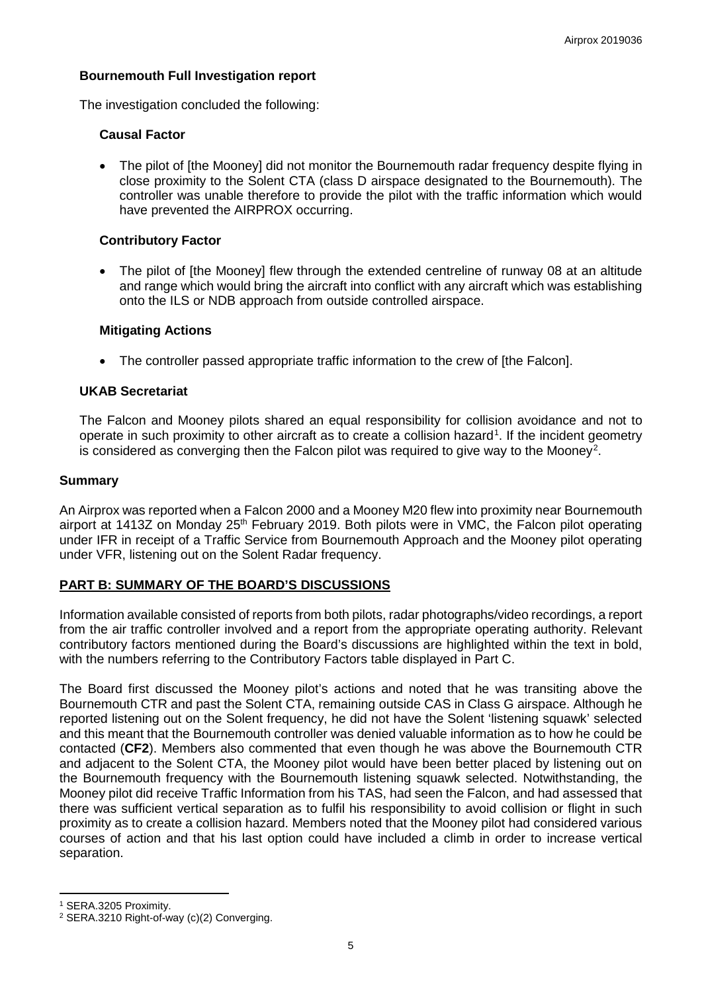## **Bournemouth Full Investigation report**

The investigation concluded the following:

### **Causal Factor**

• The pilot of [the Mooney] did not monitor the Bournemouth radar frequency despite flying in close proximity to the Solent CTA (class D airspace designated to the Bournemouth). The controller was unable therefore to provide the pilot with the traffic information which would have prevented the AIRPROX occurring.

### **Contributory Factor**

• The pilot of [the Mooney] flew through the extended centreline of runway 08 at an altitude and range which would bring the aircraft into conflict with any aircraft which was establishing onto the ILS or NDB approach from outside controlled airspace.

### **Mitigating Actions**

• The controller passed appropriate traffic information to the crew of [the Falcon].

### **UKAB Secretariat**

The Falcon and Mooney pilots shared an equal responsibility for collision avoidance and not to operate in such proximity to other aircraft as to create a collision hazard<sup>[1](#page-4-0)</sup>. If the incident geometry is considered as converging then the Falcon pilot was required to give way to the Mooney<sup>[2](#page-4-1)</sup>.

### **Summary**

An Airprox was reported when a Falcon 2000 and a Mooney M20 flew into proximity near Bournemouth airport at 1413Z on Monday 25<sup>th</sup> February 2019. Both pilots were in VMC, the Falcon pilot operating under IFR in receipt of a Traffic Service from Bournemouth Approach and the Mooney pilot operating under VFR, listening out on the Solent Radar frequency.

### **PART B: SUMMARY OF THE BOARD'S DISCUSSIONS**

Information available consisted of reports from both pilots, radar photographs/video recordings, a report from the air traffic controller involved and a report from the appropriate operating authority. Relevant contributory factors mentioned during the Board's discussions are highlighted within the text in bold, with the numbers referring to the Contributory Factors table displayed in Part C.

The Board first discussed the Mooney pilot's actions and noted that he was transiting above the Bournemouth CTR and past the Solent CTA, remaining outside CAS in Class G airspace. Although he reported listening out on the Solent frequency, he did not have the Solent 'listening squawk' selected and this meant that the Bournemouth controller was denied valuable information as to how he could be contacted (**CF2**). Members also commented that even though he was above the Bournemouth CTR and adjacent to the Solent CTA, the Mooney pilot would have been better placed by listening out on the Bournemouth frequency with the Bournemouth listening squawk selected. Notwithstanding, the Mooney pilot did receive Traffic Information from his TAS, had seen the Falcon, and had assessed that there was sufficient vertical separation as to fulfil his responsibility to avoid collision or flight in such proximity as to create a collision hazard. Members noted that the Mooney pilot had considered various courses of action and that his last option could have included a climb in order to increase vertical separation.

l

<span id="page-4-0"></span><sup>1</sup> SERA.3205 Proximity.

<span id="page-4-1"></span><sup>2</sup> SERA.3210 Right-of-way (c)(2) Converging.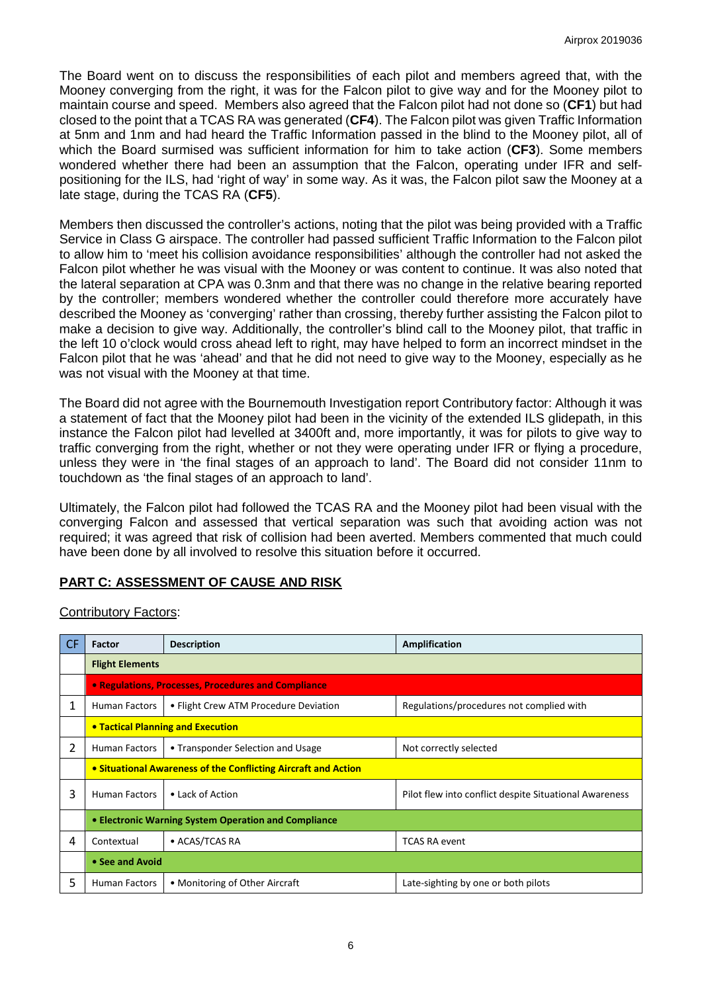The Board went on to discuss the responsibilities of each pilot and members agreed that, with the Mooney converging from the right, it was for the Falcon pilot to give way and for the Mooney pilot to maintain course and speed. Members also agreed that the Falcon pilot had not done so (**CF1**) but had closed to the point that a TCAS RA was generated (**CF4**). The Falcon pilot was given Traffic Information at 5nm and 1nm and had heard the Traffic Information passed in the blind to the Mooney pilot, all of which the Board surmised was sufficient information for him to take action (**CF3**). Some members wondered whether there had been an assumption that the Falcon, operating under IFR and selfpositioning for the ILS, had 'right of way' in some way. As it was, the Falcon pilot saw the Mooney at a late stage, during the TCAS RA (**CF5**).

Members then discussed the controller's actions, noting that the pilot was being provided with a Traffic Service in Class G airspace. The controller had passed sufficient Traffic Information to the Falcon pilot to allow him to 'meet his collision avoidance responsibilities' although the controller had not asked the Falcon pilot whether he was visual with the Mooney or was content to continue. It was also noted that the lateral separation at CPA was 0.3nm and that there was no change in the relative bearing reported by the controller; members wondered whether the controller could therefore more accurately have described the Mooney as 'converging' rather than crossing, thereby further assisting the Falcon pilot to make a decision to give way. Additionally, the controller's blind call to the Mooney pilot, that traffic in the left 10 o'clock would cross ahead left to right, may have helped to form an incorrect mindset in the Falcon pilot that he was 'ahead' and that he did not need to give way to the Mooney, especially as he was not visual with the Mooney at that time.

The Board did not agree with the Bournemouth Investigation report Contributory factor: Although it was a statement of fact that the Mooney pilot had been in the vicinity of the extended ILS glidepath, in this instance the Falcon pilot had levelled at 3400ft and, more importantly, it was for pilots to give way to traffic converging from the right, whether or not they were operating under IFR or flying a procedure, unless they were in 'the final stages of an approach to land'. The Board did not consider 11nm to touchdown as 'the final stages of an approach to land'.

Ultimately, the Falcon pilot had followed the TCAS RA and the Mooney pilot had been visual with the converging Falcon and assessed that vertical separation was such that avoiding action was not required; it was agreed that risk of collision had been averted. Members commented that much could have been done by all involved to resolve this situation before it occurred.

# **PART C: ASSESSMENT OF CAUSE AND RISK**

| <b>Contributory Factors:</b> |  |
|------------------------------|--|
|------------------------------|--|

| CF. | <b>Factor</b>                                                  | <b>Description</b>                    | Amplification                                          |  |  |  |  |  |
|-----|----------------------------------------------------------------|---------------------------------------|--------------------------------------------------------|--|--|--|--|--|
|     | <b>Flight Elements</b>                                         |                                       |                                                        |  |  |  |  |  |
|     | • Regulations, Processes, Procedures and Compliance            |                                       |                                                        |  |  |  |  |  |
| 1   | Human Factors                                                  | • Flight Crew ATM Procedure Deviation | Regulations/procedures not complied with               |  |  |  |  |  |
|     | • Tactical Planning and Execution                              |                                       |                                                        |  |  |  |  |  |
| 2   | <b>Human Factors</b>                                           | • Transponder Selection and Usage     | Not correctly selected                                 |  |  |  |  |  |
|     | • Situational Awareness of the Conflicting Aircraft and Action |                                       |                                                        |  |  |  |  |  |
| 3   | <b>Human Factors</b>                                           | • Lack of Action                      | Pilot flew into conflict despite Situational Awareness |  |  |  |  |  |
|     | • Electronic Warning System Operation and Compliance           |                                       |                                                        |  |  |  |  |  |
| 4   | Contextual                                                     | • ACAS/TCAS RA                        | <b>TCAS RA event</b>                                   |  |  |  |  |  |
|     | • See and Avoid                                                |                                       |                                                        |  |  |  |  |  |
| 5   | <b>Human Factors</b>                                           | • Monitoring of Other Aircraft        | Late-sighting by one or both pilots                    |  |  |  |  |  |